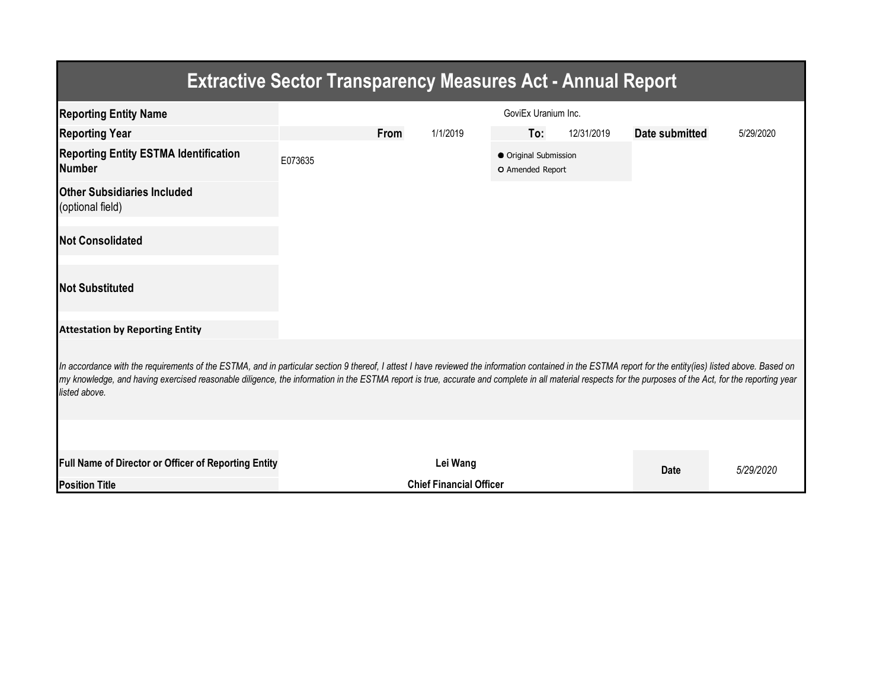| <b>Extractive Sector Transparency Measures Act - Annual Report</b>                                                                                                                                                                                                                                                                                                                                                                    |                     |                                |          |                                           |            |                |           |  |  |  |  |
|---------------------------------------------------------------------------------------------------------------------------------------------------------------------------------------------------------------------------------------------------------------------------------------------------------------------------------------------------------------------------------------------------------------------------------------|---------------------|--------------------------------|----------|-------------------------------------------|------------|----------------|-----------|--|--|--|--|
| <b>Reporting Entity Name</b>                                                                                                                                                                                                                                                                                                                                                                                                          | GoviEx Uranium Inc. |                                |          |                                           |            |                |           |  |  |  |  |
| <b>Reporting Year</b>                                                                                                                                                                                                                                                                                                                                                                                                                 |                     | <b>From</b>                    | 1/1/2019 | To:                                       | 12/31/2019 | Date submitted | 5/29/2020 |  |  |  |  |
| <b>Reporting Entity ESTMA Identification</b><br><b>Number</b>                                                                                                                                                                                                                                                                                                                                                                         | E073635             |                                |          | ● Original Submission<br>O Amended Report |            |                |           |  |  |  |  |
| <b>Other Subsidiaries Included</b><br>(optional field)                                                                                                                                                                                                                                                                                                                                                                                |                     |                                |          |                                           |            |                |           |  |  |  |  |
| <b>Not Consolidated</b>                                                                                                                                                                                                                                                                                                                                                                                                               |                     |                                |          |                                           |            |                |           |  |  |  |  |
| <b>Not Substituted</b>                                                                                                                                                                                                                                                                                                                                                                                                                |                     |                                |          |                                           |            |                |           |  |  |  |  |
| <b>Attestation by Reporting Entity</b>                                                                                                                                                                                                                                                                                                                                                                                                |                     |                                |          |                                           |            |                |           |  |  |  |  |
| In accordance with the requirements of the ESTMA, and in particular section 9 thereof, I attest I have reviewed the information contained in the ESTMA report for the entity(ies) listed above. Based on<br>my knowledge, and having exercised reasonable diligence, the information in the ESTMA report is true, accurate and complete in all material respects for the purposes of the Act, for the reporting year<br>listed above. |                     |                                |          |                                           |            |                |           |  |  |  |  |
|                                                                                                                                                                                                                                                                                                                                                                                                                                       |                     |                                |          |                                           |            |                |           |  |  |  |  |
| Full Name of Director or Officer of Reporting Entity                                                                                                                                                                                                                                                                                                                                                                                  | Lei Wang            |                                |          |                                           |            | <b>Date</b>    | 5/29/2020 |  |  |  |  |
| <b>Position Title</b>                                                                                                                                                                                                                                                                                                                                                                                                                 |                     | <b>Chief Financial Officer</b> |          |                                           |            |                |           |  |  |  |  |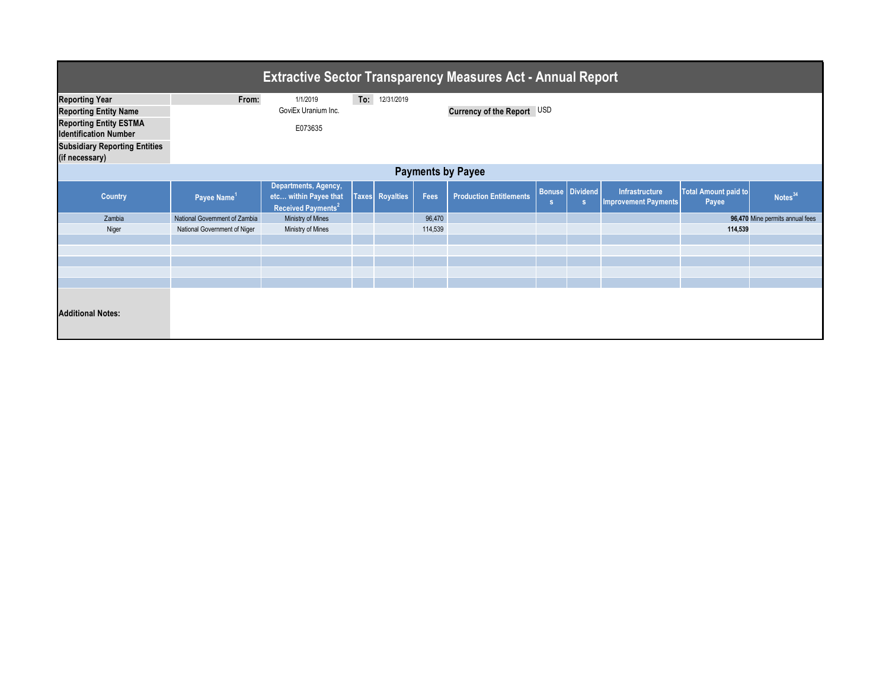| <b>Extractive Sector Transparency Measures Act - Annual Report</b> |                               |                                                                                 |  |                        |         |                                |          |                             |                                        |                                      |                                 |
|--------------------------------------------------------------------|-------------------------------|---------------------------------------------------------------------------------|--|------------------------|---------|--------------------------------|----------|-----------------------------|----------------------------------------|--------------------------------------|---------------------------------|
| <b>Reporting Year</b>                                              | From:                         | 1/1/2019                                                                        |  | To: 12/31/2019         |         |                                |          |                             |                                        |                                      |                                 |
| <b>Reporting Entity Name</b>                                       |                               | GoviEx Uranium Inc.                                                             |  |                        |         | Currency of the Report USD     |          |                             |                                        |                                      |                                 |
| <b>Reporting Entity ESTMA</b>                                      |                               | E073635                                                                         |  |                        |         |                                |          |                             |                                        |                                      |                                 |
| <b>Identification Number</b>                                       |                               |                                                                                 |  |                        |         |                                |          |                             |                                        |                                      |                                 |
| <b>Subsidiary Reporting Entities</b>                               |                               |                                                                                 |  |                        |         |                                |          |                             |                                        |                                      |                                 |
| (if necessary)                                                     |                               |                                                                                 |  |                        |         |                                |          |                             |                                        |                                      |                                 |
| <b>Payments by Payee</b>                                           |                               |                                                                                 |  |                        |         |                                |          |                             |                                        |                                      |                                 |
| <b>Country</b>                                                     | Payee Name <sup>1</sup>       | Departments, Agency,<br>etc within Payee that<br>Received Payments <sup>2</sup> |  | <b>Taxes</b> Royalties | Fees    | <b>Production Entitlements</b> | <b>S</b> | <b>Bonuse</b> Dividend<br>s | Infrastructure<br>Improvement Payments | <b>Total Amount paid to</b><br>Payee | Notes <sup>34</sup>             |
| Zambia                                                             | National Government of Zambia | Ministry of Mines                                                               |  |                        | 96,470  |                                |          |                             |                                        |                                      | 96,470 Mine permits annual fees |
| Niger                                                              | National Government of Niger  | Ministry of Mines                                                               |  |                        | 114,539 |                                |          |                             |                                        | 114,539                              |                                 |
|                                                                    |                               |                                                                                 |  |                        |         |                                |          |                             |                                        |                                      |                                 |
|                                                                    |                               |                                                                                 |  |                        |         |                                |          |                             |                                        |                                      |                                 |
|                                                                    |                               |                                                                                 |  |                        |         |                                |          |                             |                                        |                                      |                                 |
|                                                                    |                               |                                                                                 |  |                        |         |                                |          |                             |                                        |                                      |                                 |
| <b>Additional Notes:</b>                                           |                               |                                                                                 |  |                        |         |                                |          |                             |                                        |                                      |                                 |